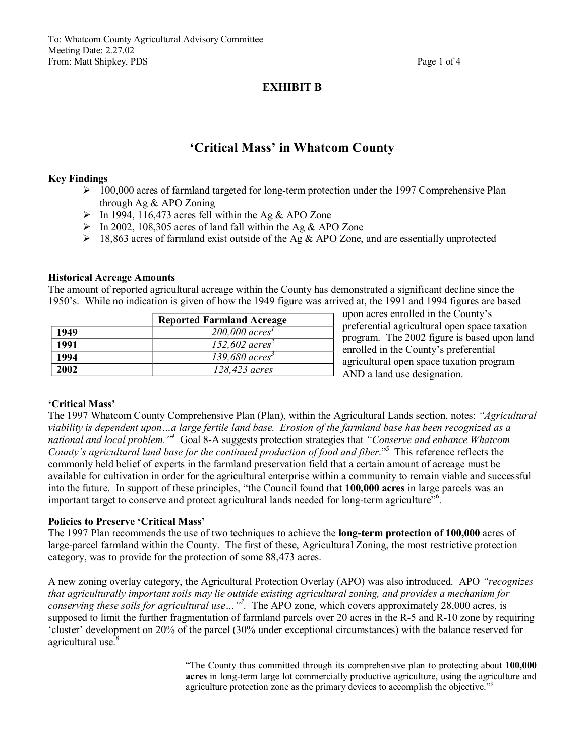To: Whatcom County Agricultural Advisory Committee Meeting Date: 2.27.02 From: Matt Shipkey, PDS Page 1 of 4

# **EXHIBIT B**

# **'Critical Mass' in Whatcom County**

#### **Key Findings**

- $\geq 100,000$  acres of farmland targeted for long-term protection under the 1997 Comprehensive Plan through Ag & APO Zoning
- $\triangleright$  In 1994, 116,473 acres fell within the Ag & APO Zone
- $\triangleright$  In 2002, 108,305 acres of land fall within the Ag & APO Zone
- $\geq 18,863$  acres of farmland exist outside of the Ag & APO Zone, and are essentially unprotected

#### **Historical Acreage Amounts**

The amount of reported agricultural acreage within the County has demonstrated a significant decline since the 1950's. While no indication is given of how the 1949 figure was arrived at, the 1991 and 1994 figures are based

|      | <b>Reported Farmland Acreage</b> |
|------|----------------------------------|
| 1949 | $200,000$ acres <sup>1</sup>     |
| 1991 | 152,602 $acres2$                 |
| 1994 | $139,680$ acres <sup>3</sup>     |
| 2002 | 128,423 acres                    |

upon acres enrolled in the County's preferential agricultural open space taxation program. The 2002 figure is based upon land enrolled in the County's preferential agricultural open space taxation program AND a land use designation.

### **'Critical Mass'**

The 1997 Whatcom County Comprehensive Plan (Plan), within the Agricultural Lands section, notes: *"Agricultural viability is dependent upon…a large fertile land base. Erosion of the farmland base has been recognized as a national and local problem." <sup>4</sup>* Goal 8A suggests protection strategies that *"Conserve and enhance Whatcom County's agricultural land base for the continued production of food and fiber*." <sup>5</sup> This reference reflects the commonly held belief of experts in the farmland preservation field that a certain amount of acreage must be available for cultivation in order for the agricultural enterprise within a community to remain viable and successful into the future. In support of these principles, "the Council found that **100,000 acres** in large parcels was an important target to conserve and protect agricultural lands needed for long-term agriculture"<sup>6</sup>.

#### **Policies to Preserve 'Critical Mass'**

The 1997 Plan recommends the use of two techniques to achieve the **long-term protection of 100,000** acres of large-parcel farmland within the County. The first of these, Agricultural Zoning, the most restrictive protection category, was to provide for the protection of some 88,473 acres.

A new zoning overlay category, the Agricultural Protection Overlay (APO) was also introduced. APO *"recognizes that agriculturally important soils may lie outside existing agricultural zoning, and provides a mechanism for conserving these soils for agricultural use…"<sup>7</sup> .* The APO zone, which covers approximately 28,000 acres, is supposed to limit the further fragmentation of farmland parcels over 20 acres in the R-5 and R-10 zone by requiring 'cluster' development on 20% of the parcel (30% under exceptional circumstances) with the balance reserved for agricultural use.<sup>8</sup>

> "The County thus committed through its comprehensive plan to protecting about **100,000**  acres in long-term large lot commercially productive agriculture, using the agriculture and agriculture protection zone as the primary devices to accomplish the objective."<sup>9</sup>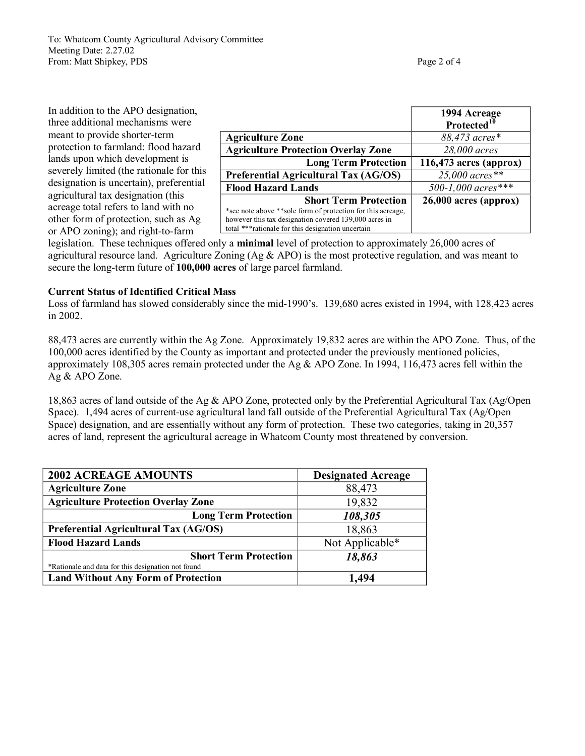To: Whatcom County Agricultural Advisory Committee Meeting Date: 2.27.02 From: Matt Shipkey, PDS Page 2 of 4

In addition to the APO designation, three additional mechanisms were meant to provide shorter-term protection to farmland: flood hazard lands upon which development is severely limited (the rationale for this designation is uncertain), preferential agricultural tax designation (this acreage total refers to land with no other form of protection, such as Ag or APO zoning); and right-to-farm

|                                                                                                                                                       | 1994 Acreage<br>Protected <sup>10</sup> |
|-------------------------------------------------------------------------------------------------------------------------------------------------------|-----------------------------------------|
|                                                                                                                                                       |                                         |
| <b>Agriculture Zone</b>                                                                                                                               | 88,473 acres*                           |
| <b>Agriculture Protection Overlay Zone</b>                                                                                                            | 28,000 acres                            |
| <b>Long Term Protection</b>                                                                                                                           | 116,473 acres (approx)                  |
| Preferential Agricultural Tax (AG/OS)                                                                                                                 | $25,000$ acres**                        |
| <b>Flood Hazard Lands</b>                                                                                                                             | 500-1,000 acres***                      |
| <b>Short Term Protection</b><br>*see note above ** sole form of protection for this acreage,<br>however this tax designation covered 139,000 acres in | $26,000$ acres (approx)                 |
| total *** rationale for this designation uncertain                                                                                                    |                                         |

legislation. These techniques offered only a **minimal** level of protection to approximately 26,000 acres of agricultural resource land. Agriculture Zoning (Ag  $\&$  APO) is the most protective regulation, and was meant to secure the long-term future of 100,000 acres of large parcel farmland.

# **Current Status of Identified Critical Mass**

Loss of farmland has slowed considerably since the mid-1990's. 139,680 acres existed in 1994, with 128,423 acres in 2002.

88,473 acres are currently within the Ag Zone. Approximately 19,832 acres are within the APO Zone. Thus, of the 100,000 acres identified by the County as important and protected under the previously mentioned policies, approximately 108,305 acres remain protected under the Ag & APO Zone. In 1994, 116,473 acres fell within the Ag & APO Zone.

18,863 acres of land outside of the Ag & APO Zone, protected only by the Preferential Agricultural Tax (Ag/Open Space). 1,494 acres of current-use agricultural land fall outside of the Preferential Agricultural Tax (Ag/Open Space) designation, and are essentially without any form of protection. These two categories, taking in 20,357 acres of land, represent the agricultural acreage in Whatcom County most threatened by conversion.

| <b>2002 ACREAGE AMOUNTS</b>                                                        | <b>Designated Acreage</b> |
|------------------------------------------------------------------------------------|---------------------------|
| <b>Agriculture Zone</b>                                                            | 88,473                    |
| <b>Agriculture Protection Overlay Zone</b>                                         | 19,832                    |
| <b>Long Term Protection</b>                                                        | 108,305                   |
| Preferential Agricultural Tax (AG/OS)                                              | 18,863                    |
| <b>Flood Hazard Lands</b>                                                          | Not Applicable*           |
| <b>Short Term Protection</b><br>*Rationale and data for this designation not found | 18,863                    |
| <b>Land Without Any Form of Protection</b>                                         | 1,494                     |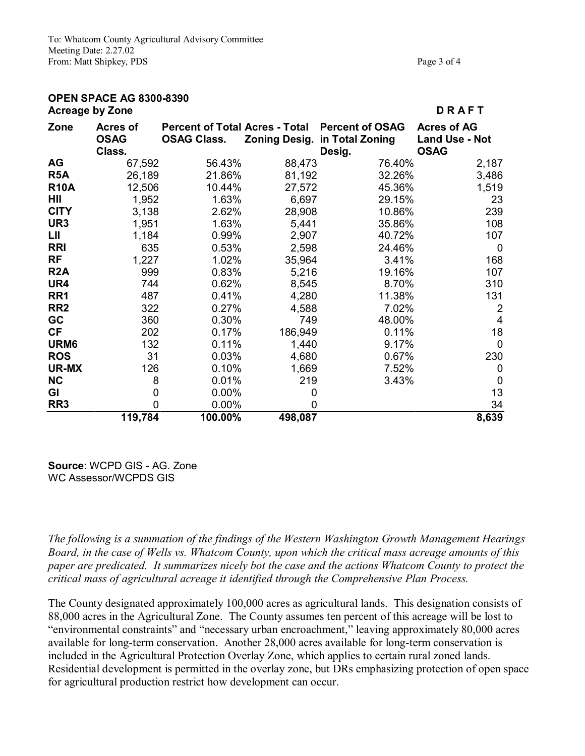To: Whatcom County Agricultural Advisory Committee Meeting Date: 2.27.02 From: Matt Shipkey, PDS

| Page 3 of 4 |  |  |
|-------------|--|--|

## **OPEN SPACE AG 8300-8390 Acreage by Zone D R A F T**

| <b>ADIGAYG NY EVIIG</b>                  |                    |                                                                                                                                                                        |                                                                                                                                                                                                             | י וראי                                                                                                                                                                                                                                                                                         |
|------------------------------------------|--------------------|------------------------------------------------------------------------------------------------------------------------------------------------------------------------|-------------------------------------------------------------------------------------------------------------------------------------------------------------------------------------------------------------|------------------------------------------------------------------------------------------------------------------------------------------------------------------------------------------------------------------------------------------------------------------------------------------------|
| <b>Acres of</b><br><b>OSAG</b><br>Class. | <b>OSAG Class.</b> |                                                                                                                                                                        | Desig.                                                                                                                                                                                                      | <b>Acres of AG</b><br><b>Land Use - Not</b><br><b>OSAG</b>                                                                                                                                                                                                                                     |
|                                          |                    |                                                                                                                                                                        | 76.40%                                                                                                                                                                                                      | 2,187                                                                                                                                                                                                                                                                                          |
|                                          |                    |                                                                                                                                                                        | 32.26%                                                                                                                                                                                                      | 3,486                                                                                                                                                                                                                                                                                          |
|                                          |                    |                                                                                                                                                                        | 45.36%                                                                                                                                                                                                      | 1,519                                                                                                                                                                                                                                                                                          |
|                                          |                    |                                                                                                                                                                        | 29.15%                                                                                                                                                                                                      | 23                                                                                                                                                                                                                                                                                             |
|                                          |                    |                                                                                                                                                                        | 10.86%                                                                                                                                                                                                      | 239                                                                                                                                                                                                                                                                                            |
|                                          |                    |                                                                                                                                                                        |                                                                                                                                                                                                             | 108                                                                                                                                                                                                                                                                                            |
|                                          |                    |                                                                                                                                                                        |                                                                                                                                                                                                             | 107                                                                                                                                                                                                                                                                                            |
|                                          |                    |                                                                                                                                                                        | 24.46%                                                                                                                                                                                                      | 0                                                                                                                                                                                                                                                                                              |
|                                          |                    |                                                                                                                                                                        | 3.41%                                                                                                                                                                                                       | 168                                                                                                                                                                                                                                                                                            |
|                                          |                    |                                                                                                                                                                        |                                                                                                                                                                                                             | 107                                                                                                                                                                                                                                                                                            |
|                                          |                    |                                                                                                                                                                        | 8.70%                                                                                                                                                                                                       | 310                                                                                                                                                                                                                                                                                            |
|                                          |                    |                                                                                                                                                                        | 11.38%                                                                                                                                                                                                      | 131                                                                                                                                                                                                                                                                                            |
|                                          |                    |                                                                                                                                                                        | 7.02%                                                                                                                                                                                                       | $\overline{2}$                                                                                                                                                                                                                                                                                 |
|                                          |                    |                                                                                                                                                                        | 48.00%                                                                                                                                                                                                      | 4                                                                                                                                                                                                                                                                                              |
|                                          |                    |                                                                                                                                                                        | 0.11%                                                                                                                                                                                                       | 18                                                                                                                                                                                                                                                                                             |
|                                          |                    |                                                                                                                                                                        | 9.17%                                                                                                                                                                                                       | 0                                                                                                                                                                                                                                                                                              |
|                                          |                    |                                                                                                                                                                        | 0.67%                                                                                                                                                                                                       | 230                                                                                                                                                                                                                                                                                            |
|                                          |                    |                                                                                                                                                                        | 7.52%                                                                                                                                                                                                       | 0                                                                                                                                                                                                                                                                                              |
|                                          |                    |                                                                                                                                                                        | 3.43%                                                                                                                                                                                                       | 0                                                                                                                                                                                                                                                                                              |
|                                          |                    |                                                                                                                                                                        |                                                                                                                                                                                                             | 13                                                                                                                                                                                                                                                                                             |
|                                          |                    | 0                                                                                                                                                                      |                                                                                                                                                                                                             | 34                                                                                                                                                                                                                                                                                             |
|                                          | 100.00%            | 498,087                                                                                                                                                                |                                                                                                                                                                                                             | 8,639                                                                                                                                                                                                                                                                                          |
|                                          |                    | 67,592<br>26,189<br>12,506<br>1,952<br>3,138<br>1,951<br>1,184<br>635<br>1,227<br>999<br>744<br>487<br>322<br>360<br>202<br>132<br>31<br>126<br>8<br>0<br>0<br>119,784 | 56.43%<br>21.86%<br>10.44%<br>1.63%<br>2.62%<br>1.63%<br>5,441<br>0.99%<br>0.53%<br>1.02%<br>0.83%<br>0.62%<br>0.41%<br>0.27%<br>0.30%<br>0.17%<br>0.11%<br>0.03%<br>0.10%<br>0.01%<br>$0.00\%$<br>$0.00\%$ | Percent of Total Acres - Total Percent of OSAG<br><b>Zoning Desig. in Total Zoning</b><br>88,473<br>81,192<br>27,572<br>6,697<br>28,908<br>35.86%<br>2,907<br>40.72%<br>2,598<br>35,964<br>5,216<br>19.16%<br>8,545<br>4,280<br>4,588<br>749<br>186,949<br>1,440<br>4,680<br>1,669<br>219<br>0 |

**Source: WCPD GIS - AG. Zone** WC Assessor/WCPDS GIS

*The following is a summation of the findings of the Western Washington Growth Management Hearings Board, in the case of Wells vs. Whatcom County, upon which the critical mass acreage amounts of this paper are predicated. It summarizes nicely bot the case and the actions Whatcom County to protect the critical mass of agricultural acreage it identified through the Comprehensive Plan Process.*

The County designated approximately 100,000 acres as agricultural lands. This designation consists of 88,000 acres in the Agricultural Zone. The County assumes ten percent of this acreage will be lost to "environmental constraints" and "necessary urban encroachment," leaving approximately 80,000 acres available for long-term conservation. Another 28,000 acres available for long-term conservation is included in the Agricultural Protection Overlay Zone, which applies to certain rural zoned lands. Residential development is permitted in the overlay zone, but DRs emphasizing protection of open space for agricultural production restrict how development can occur.